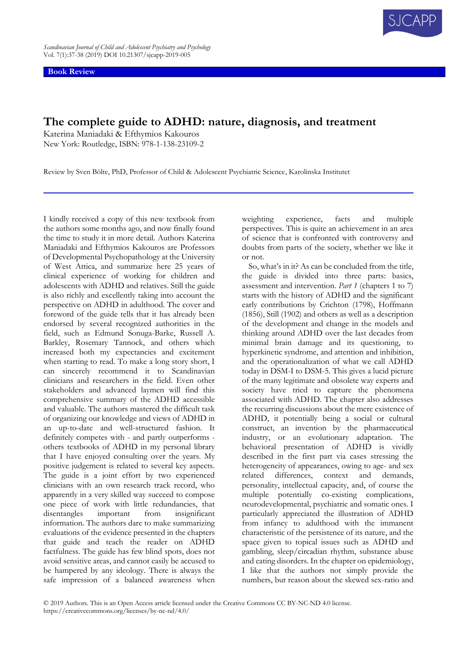

**Book Review**

## **The complete guide to ADHD: nature, diagnosis, and treatment**

Katerina Maniadaki & Efthymios Kakouros New York: Routledge, ISBN: 978-1-138-23109-2

Review by Sven Bölte, PhD, Professor of Child & Adolescent Psychiatric Science, Karolinska Institutet

I kindly received a copy of this new textbook from the authors some months ago, and now finally found the time to study it in more detail. Authors Katerina Maniadaki and Efthymios Kakouros are Professors of Developmental Psychopathology at the University of West Attica, and summarize here 25 years of clinical experience of working for children and adolescents with ADHD and relatives. Still the guide is also richly and excellently taking into account the perspective on ADHD in adulthood. The cover and foreword of the guide tells that it has already been endorsed by several recognized authorities in the field, such as Edmund Sonuga-Barke, Russell A. Barkley, Rosemary Tannock, and others which increased both my expectancies and excitement when starting to read. To make a long story short, I can sincerely recommend it to Scandinavian clinicians and researchers in the field. Even other stakeholders and advanced laymen will find this comprehensive summary of the ADHD accessible and valuable. The authors mastered the difficult task of organizing our knowledge and views of ADHD in an up-to-date and well-structured fashion. It definitely competes with - and partly outperforms others textbooks of ADHD in my personal library that I have enjoyed consulting over the years. My positive judgement is related to several key aspects. The guide is a joint effort by two experienced clinicians with an own research track record, who apparently in a very skilled way succeed to compose one piece of work with little redundancies, that disentangles important from insignificant information. The authors dare to make summarizing evaluations of the evidence presented in the chapters that guide and teach the reader on ADHD factfulness. The guide has few blind spots, does not avoid sensitive areas, and cannot easily be accused to be hampered by any ideology. There is always the safe impression of a balanced awareness when weighting experience, facts and multiple perspectives. This is quite an achievement in an area of science that is confronted with controversy and doubts from parts of the society, whether we like it or not.

So, what's in it? As can be concluded from the title, the guide is divided into three parts: basics, assessment and intervention. *Part 1* (chapters 1 to 7) starts with the history of ADHD and the significant early contributions by Crichton (1798), Hoffmann (1856), Still (1902) and others as well as a description of the development and change in the models and thinking around ADHD over the last decades from minimal brain damage and its questioning, to hyperkinetic syndrome, and attention and inhibition, and the operationalization of what we call ADHD today in DSM-I to DSM-5. This gives a lucid picture of the many legitimate and obsolete way experts and society have tried to capture the phenomena associated with ADHD. The chapter also addresses the recurring discussions about the mere existence of ADHD, it potentially being a social or cultural construct, an invention by the pharmaceutical industry, or an evolutionary adaptation. The behavioral presentation of ADHD is vividly described in the first part via cases stressing the heterogeneity of appearances, owing to age- and sex related differences, context and demands, personality, intellectual capacity, and, of course the multiple potentially co-existing complications, neurodevelopmental, psychiatric and somatic ones. I particularly appreciated the illustration of ADHD from infancy to adulthood with the immanent characteristic of the persistence of its nature, and the space given to topical issues such as ADHD and gambling, sleep/circadian rhythm, substance abuse and eating disorders. In the chapter on epidemiology, I like that the authors not simply provide the numbers, but reason about the skewed sex-ratio and